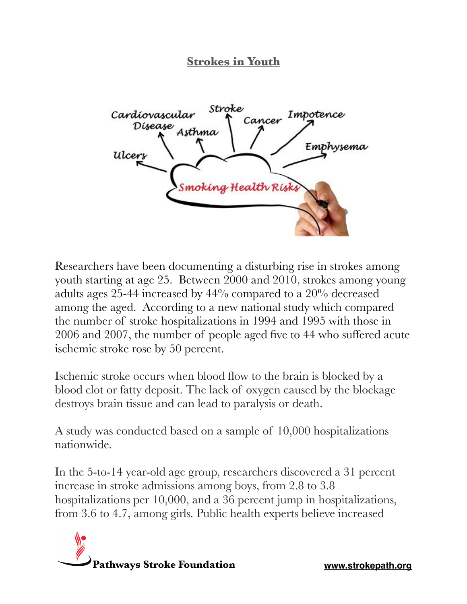## **Strokes in Youth**



Researchers have been documenting a disturbing rise in strokes among youth starting at age 25. Between 2000 and 2010, strokes among young adults ages 25-44 increased by 44% compared to a 20% decreased among the aged. According to a new national study which compared the number of stroke hospitalizations in 1994 and 1995 with those in 2006 and 2007, the number of people aged five to 44 who suffered acute ischemic stroke rose by 50 percent.

Ischemic stroke occurs when blood flow to the brain is blocked by a blood clot or fatty deposit. The lack of oxygen caused by the blockage destroys brain tissue and can lead to paralysis or death.

A study was conducted based on a sample of 10,000 hospitalizations nationwide.

In the 5-to-14 year-old age group, researchers discovered a 31 percent increase in stroke admissions among boys, from 2.8 to 3.8 hospitalizations per 10,000, and a 36 percent jump in hospitalizations, from 3.6 to 4.7, among girls. Public health experts believe increased

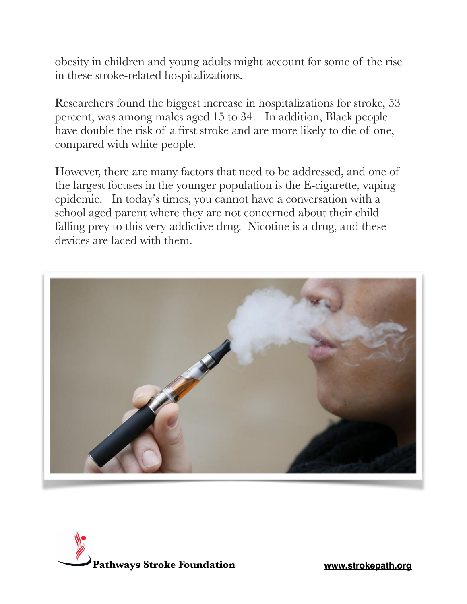obesity in children and young adults might account for some of the rise in these stroke-related hospitalizations.

Researchers found the biggest increase in hospitalizations for stroke, 53 percent, was among males aged 15 to 34. In addition, Black people have double the risk of a first stroke and are more likely to die of one, compared with white people.

However, there are many factors that need to be addressed, and one of the largest focuses in the younger population is the E-cigarette, vaping epidemic. In today's times, you cannot have a conversation with a school aged parent where they are not concerned about their child falling prey to this very addictive drug. Nicotine is a drug, and these devices are laced with them.



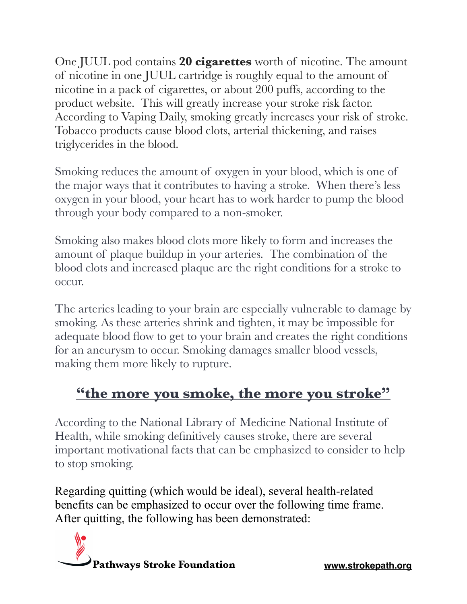One JUUL pod contains **20 cigarettes** worth of nicotine. The amount of nicotine in one JUUL cartridge is roughly equal to the amount of nicotine in a pack of cigarettes, or about 200 puffs, according to the product website. This will greatly increase your stroke risk factor. According to Vaping Daily, smoking greatly increases your risk of stroke. Tobacco products cause blood clots, arterial thickening, and raises triglycerides in the blood.

Smoking reduces the amount of oxygen in your blood, which is one of the major ways that it contributes to having a stroke. When there's less oxygen in your blood, your heart has to work harder to pump the blood through your body compared to a non-smoker.

Smoking also makes blood clots more likely to form and increases the amount of plaque buildup in your arteries. The combination of the blood clots and increased plaque are the right conditions for a stroke to occur.

The arteries leading to your brain are especially vulnerable to damage by smoking. As these arteries shrink and tighten, it may be impossible for adequate blood flow to get to your brain and creates the right conditions for an aneurysm to occur. Smoking damages smaller blood vessels, making them more likely to rupture.

## **"the more you smoke, the more you stroke"**

According to the National Library of Medicine National Institute of Health, while smoking definitively causes stroke, there are several important motivational facts that can be emphasized to consider to help to stop smoking.

Regarding quitting (which would be ideal), several health-related benefits can be emphasized to occur over the following time frame. After quitting, the following has been demonstrated: